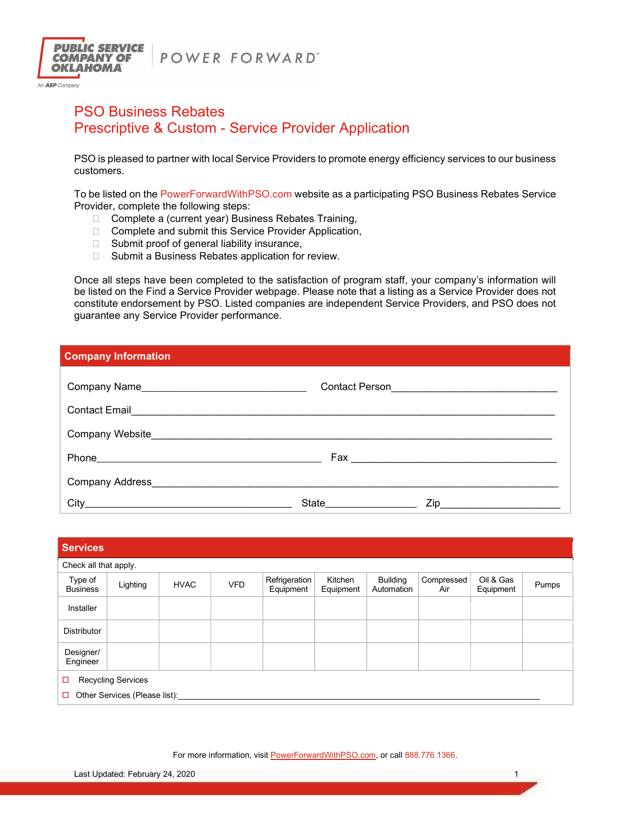



An **AEP** Company

# PSO Business Rebates Prescriptive & Custom - Service Provider Application

PSO is pleased to partner with local Service Providers to promote energy efficiency services to our business customers.

To be listed on the PowerForwardWithPSO.com website as a participating PSO Business Rebates Service Provider, complete the following steps:

- □ Complete a (current year) Business Rebates Training,
- □ Complete and submit this Service Provider Application,
- $\Box$  Submit proof of general liability insurance,
- □ Submit a Business Rebates application for review.

Once all steps have been completed to the satisfaction of program staff, your company's information will be listed on the Find a Service Provider webpage. Please note that a listing as a Service Provider does not constitute endorsement by PSO. Listed companies are independent Service Providers, and PSO does not guarantee any Service Provider performance.

| <b>Company Information</b>             |                          |                                               |  |  |  |  |  |  |  |
|----------------------------------------|--------------------------|-----------------------------------------------|--|--|--|--|--|--|--|
| Company Name                           |                          | Contact Person ______________________________ |  |  |  |  |  |  |  |
| Contact Email                          |                          |                                               |  |  |  |  |  |  |  |
|                                        |                          |                                               |  |  |  |  |  |  |  |
|                                        |                          |                                               |  |  |  |  |  |  |  |
| Company Address <b>Company</b> Address |                          |                                               |  |  |  |  |  |  |  |
| City                                   | State___________________ | $\mathsf{Zip}\_$                              |  |  |  |  |  |  |  |

| <b>Services</b>                    |          |             |            |                            |                      |                               |                   |                        |       |  |
|------------------------------------|----------|-------------|------------|----------------------------|----------------------|-------------------------------|-------------------|------------------------|-------|--|
| Check all that apply.              |          |             |            |                            |                      |                               |                   |                        |       |  |
| Type of<br><b>Business</b>         | Lighting | <b>HVAC</b> | <b>VFD</b> | Refrigeration<br>Equipment | Kitchen<br>Equipment | <b>Building</b><br>Automation | Compressed<br>Air | Oil & Gas<br>Equipment | Pumps |  |
| Installer                          |          |             |            |                            |                      |                               |                   |                        |       |  |
| <b>Distributor</b>                 |          |             |            |                            |                      |                               |                   |                        |       |  |
| Designer/<br>Engineer              |          |             |            |                            |                      |                               |                   |                        |       |  |
| <b>Recycling Services</b><br>□     |          |             |            |                            |                      |                               |                   |                        |       |  |
| Other Services (Please list):<br>□ |          |             |            |                            |                      |                               |                   |                        |       |  |

For more information, visit PowerForwardWithPSO.com, or call 888.776.1366.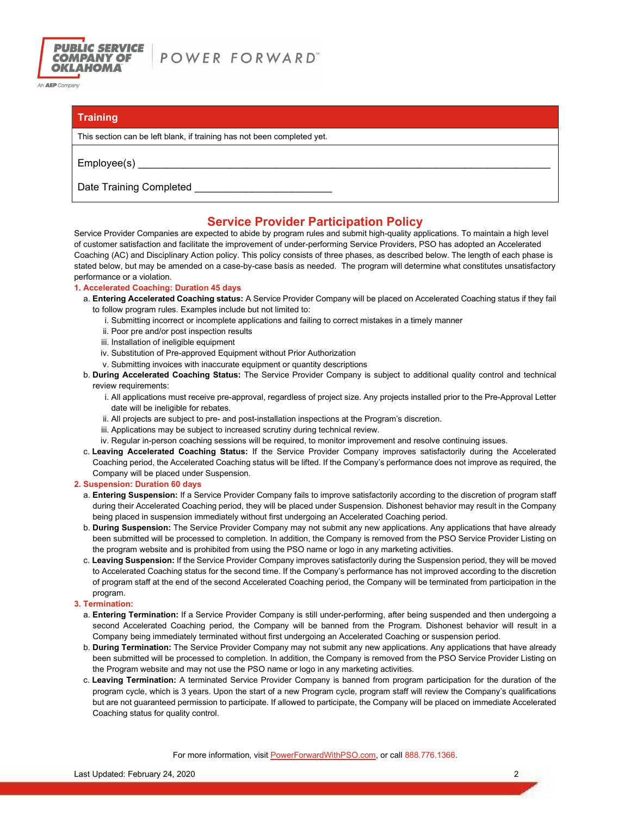

An **AEP** Company

### **Training**

This section can be left blank, if training has not been completed yet.

 $Employee(s)$ 

Date Training Completed \_

## Service Provider Participation Policy

Service Provider Companies are expected to abide by program rules and submit high-quality applications. To maintain a high level of customer satisfaction and facilitate the improvement of under-performing Service Providers, PSO has adopted an Accelerated Coaching (AC) and Disciplinary Action policy. This policy consists of three phases, as described below. The length of each phase is stated below, but may be amended on a case-by-case basis as needed. The program will determine what constitutes unsatisfactory performance or a violation.

#### 1. Accelerated Coaching: Duration 45 days

- a. Entering Accelerated Coaching status: A Service Provider Company will be placed on Accelerated Coaching status if they fail to follow program rules. Examples include but not limited to:
	- i. Submitting incorrect or incomplete applications and failing to correct mistakes in a timely manner
	- ii. Poor pre and/or post inspection results
	- iii. Installation of ineligible equipment
	- iv. Substitution of Pre-approved Equipment without Prior Authorization
	- v. Submitting invoices with inaccurate equipment or quantity descriptions
- b. During Accelerated Coaching Status: The Service Provider Company is subject to additional quality control and technical review requirements:
	- i. All applications must receive pre-approval, regardless of project size. Any projects installed prior to the Pre-Approval Letter date will be ineligible for rebates.
	- ii. All projects are subject to pre- and post-installation inspections at the Program's discretion.
	- iii. Applications may be subject to increased scrutiny during technical review.
	- iv. Regular in-person coaching sessions will be required, to monitor improvement and resolve continuing issues.
- c. Leaving Accelerated Coaching Status: If the Service Provider Company improves satisfactorily during the Accelerated Coaching period, the Accelerated Coaching status will be lifted. If the Company's performance does not improve as required, the Company will be placed under Suspension.

#### 2. Suspension: Duration 60 days

- a. Entering Suspension: If a Service Provider Company fails to improve satisfactorily according to the discretion of program staff during their Accelerated Coaching period, they will be placed under Suspension. Dishonest behavior may result in the Company being placed in suspension immediately without first undergoing an Accelerated Coaching period.
- b. During Suspension: The Service Provider Company may not submit any new applications. Any applications that have already been submitted will be processed to completion. In addition, the Company is removed from the PSO Service Provider Listing on the program website and is prohibited from using the PSO name or logo in any marketing activities.
- c. Leaving Suspension: If the Service Provider Company improves satisfactorily during the Suspension period, they will be moved to Accelerated Coaching status for the second time. If the Company's performance has not improved according to the discretion of program staff at the end of the second Accelerated Coaching period, the Company will be terminated from participation in the program.

#### 3. Termination:

- a. Entering Termination: If a Service Provider Company is still under-performing, after being suspended and then undergoing a second Accelerated Coaching period, the Company will be banned from the Program. Dishonest behavior will result in a Company being immediately terminated without first undergoing an Accelerated Coaching or suspension period.
- b. During Termination: The Service Provider Company may not submit any new applications. Any applications that have already been submitted will be processed to completion. In addition, the Company is removed from the PSO Service Provider Listing on the Program website and may not use the PSO name or logo in any marketing activities.
- c. Leaving Termination: A terminated Service Provider Company is banned from program participation for the duration of the program cycle, which is 3 years. Upon the start of a new Program cycle, program staff will review the Company's qualifications but are not guaranteed permission to participate. If allowed to participate, the Company will be placed on immediate Accelerated Coaching status for quality control.

For more information, visit PowerForwardWithPSO.com, or call 888.776.1366.